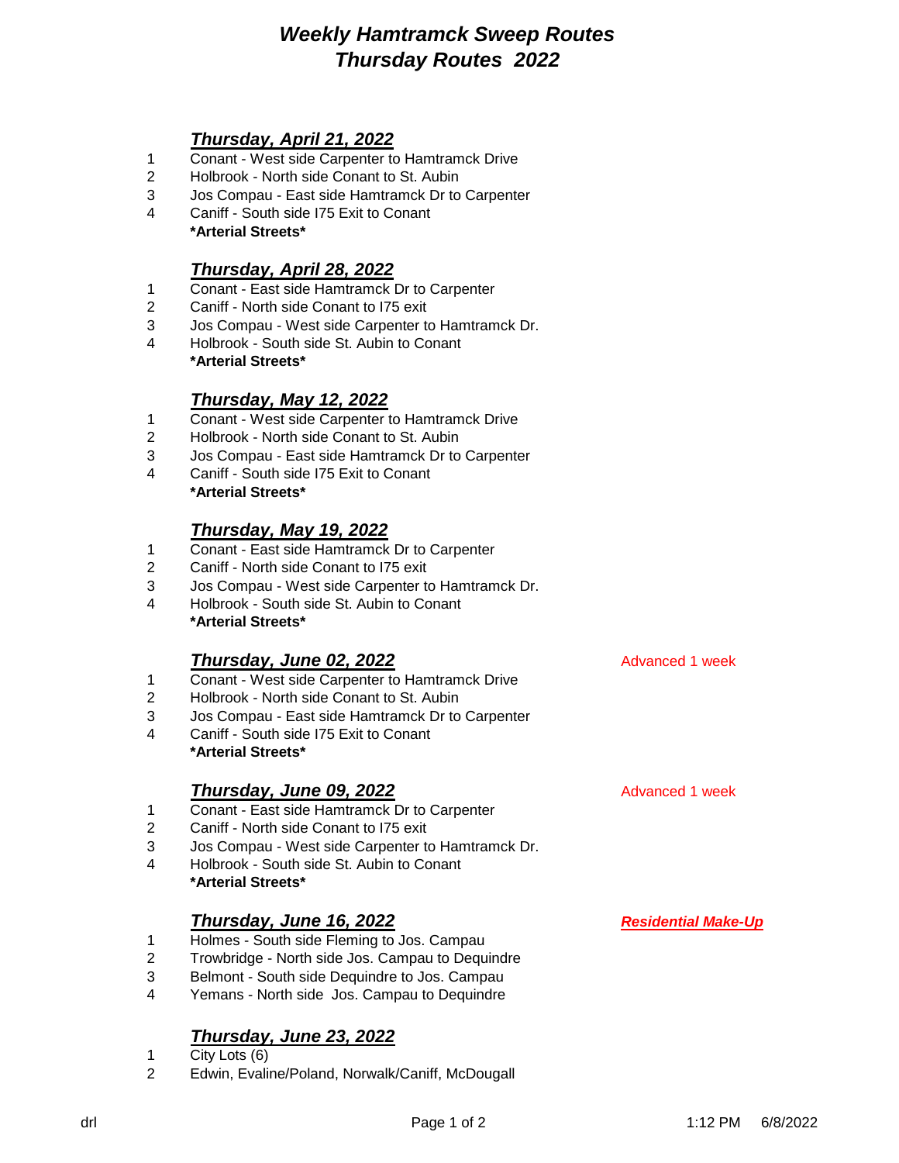# *Weekly Hamtramck Sweep Routes Thursday Routes 2022*

## *Thursday, April 21, 2022*

- Conant West side Carpenter to Hamtramck Drive
- Holbrook North side Conant to St. Aubin
- Jos Compau East side Hamtramck Dr to Carpenter
- Caniff South side I75 Exit to Conant **\*Arterial Streets\***

## *Thursday, April 28, 2022*

- Conant East side Hamtramck Dr to Carpenter
- Caniff North side Conant to I75 exit
- Jos Compau West side Carpenter to Hamtramck Dr.
- Holbrook South side St. Aubin to Conant **\*Arterial Streets\***

#### *Thursday, May 12, 2022*

- Conant West side Carpenter to Hamtramck Drive
- Holbrook North side Conant to St. Aubin
- Jos Compau East side Hamtramck Dr to Carpenter
- Caniff South side I75 Exit to Conant **\*Arterial Streets\***

## *Thursday, May 19, 2022*

- Conant East side Hamtramck Dr to Carpenter
- Caniff North side Conant to I75 exit
- Jos Compau West side Carpenter to Hamtramck Dr.
- Holbrook South side St. Aubin to Conant **\*Arterial Streets\***

#### **Thursday, June 02, 2022** Advanced 1 week

- Conant West side Carpenter to Hamtramck Drive
- Holbrook North side Conant to St. Aubin
- Jos Compau East side Hamtramck Dr to Carpenter
- Caniff South side I75 Exit to Conant **\*Arterial Streets\***

#### **Thursday, June 09, 2022** Advanced 1 week

- Conant East side Hamtramck Dr to Carpenter
- Caniff North side Conant to I75 exit
- Jos Compau West side Carpenter to Hamtramck Dr.
- Holbrook South side St. Aubin to Conant **\*Arterial Streets\***

#### *Thursday, June 16, 2022 Residential Make-Up*

- Holmes South side Fleming to Jos. Campau
- Trowbridge North side Jos. Campau to Dequindre
- Belmont South side Dequindre to Jos. Campau
- Yemans North side Jos. Campau to Dequindre

# *Thursday, June 23, 2022*

- City Lots (6)
- Edwin, Evaline/Poland, Norwalk/Caniff, McDougall